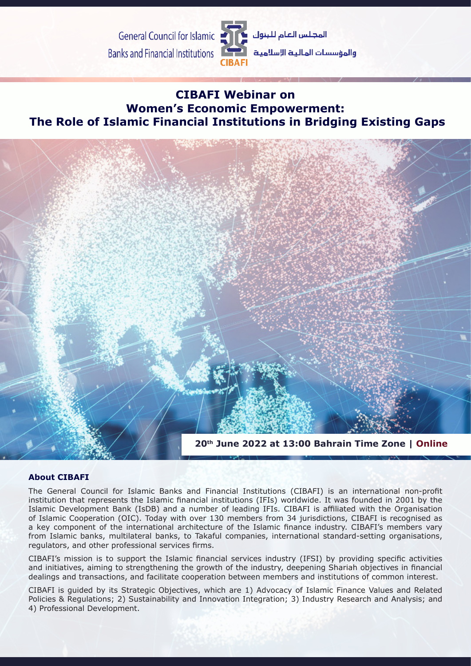**General Council for Islamic Banks and Financial Institutions** 



والمؤسسات المالية الإسلامية

## **on Webinar CIBAFI Women's Economic Empowerment: The Role of Islamic Financial Institutions in Bridging Existing Gaps**



### **About CIBAFI**

The General Council for Islamic Banks and Financial Institutions (CIBAFI) is an international non-profit institution that represents the Islamic financial institutions (IFIs) worldwide. It was founded in 2001 by the Islamic Development Bank (IsDB) and a number of leading IFIs. CIBAFI is affiliated with the Organisation of Islamic Cooperation (OIC). Today with over 130 members from 34 jurisdictions, CIBAFI is recognised as a key component of the international architecture of the Islamic finance industry. CIBAFI's members vary from Islamic banks, multilateral banks, to Takaful companies, international standard-setting organisations, regulators, and other professional services firms.

CIBAFI's mission is to support the Islamic financial services industry (IFSI) by providing specific activities and initiatives, aiming to strengthening the growth of the industry, deepening Shariah objectives in financial dealings and transactions, and facilitate cooperation between members and institutions of common interest.

CIBAFI is guided by its Strategic Objectives, which are 1) Advocacy of Islamic Finance Values and Related Policies & Regulations; 2) Sustainability and Innovation Integration; 3) Industry Research and Analysis; and 4) Professional Development.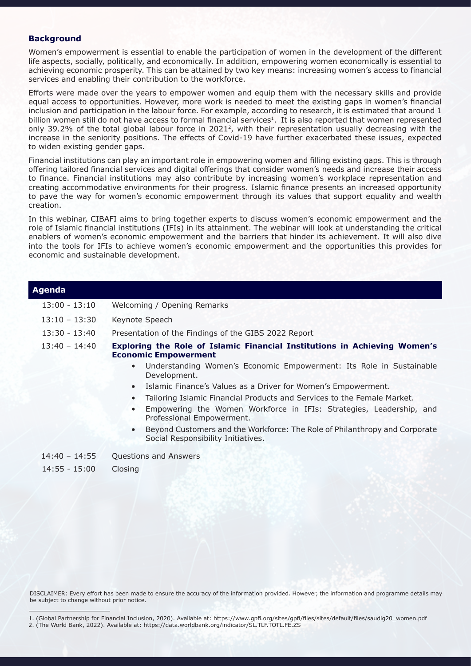#### **Background**

Women's empowerment is essential to enable the participation of women in the development of the different life aspects, socially, politically, and economically. In addition, empowering women economically is essential to achieving economic prosperity. This can be attained by two key means: increasing women's access to financial services and enabling their contribution to the workforce.

Efforts were made over the years to empower women and equip them with the necessary skills and provide equal access to opportunities. However, more work is needed to meet the existing gaps in women's financial inclusion and participation in the labour force. For example, according to research, it is estimated that around 1 billion women still do not have access to formal financial services<sup>1</sup>. It is also reported that women represented only 39.2% of the total global labour force in 2021<sup>2</sup>, with their representation usually decreasing with the increase in the seniority positions. The effects of Covid-19 have further exacerbated these issues, expected to widen existing gender gaps.

Financial institutions can play an important role in empowering women and filling existing gaps. This is through offering tailored financial services and digital offerings that consider women's needs and increase their access to finance. Financial institutions may also contribute by increasing women's workplace representation and creating accommodative environments for their progress. Islamic finance presents an increased opportunity to pave the way for women's economic empowerment through its values that support equality and wealth .creation

In this webinar, CIBAFI aims to bring together experts to discuss women's economic empowerment and the role of Islamic financial institutions (IFIs) in its attainment. The webinar will look at understanding the critical enablers of women's economic empowerment and the barriers that hinder its achievement. It will also dive into the tools for IFIs to achieve women's economic empowerment and the opportunities this provides for economic and sustainable development.

| Agenda          |                                                                                                                               |
|-----------------|-------------------------------------------------------------------------------------------------------------------------------|
| $13:00 - 13:10$ | Welcoming / Opening Remarks                                                                                                   |
| $13:10 - 13:30$ | Keynote Speech                                                                                                                |
| $13:30 - 13:40$ | Presentation of the Findings of the GIBS 2022 Report                                                                          |
| $13:40 - 14:40$ | Exploring the Role of Islamic Financial Institutions in Achieving Women's<br><b>Economic Empowerment</b>                      |
|                 | Understanding Women's Economic Empowerment: Its Role in Sustainable<br>$\bullet$<br>Development.                              |
|                 | Islamic Finance's Values as a Driver for Women's Empowerment.<br>$\bullet$                                                    |
|                 | Tailoring Islamic Financial Products and Services to the Female Market.<br>$\bullet$                                          |
|                 | Empowering the Women Workforce in IFIs: Strategies, Leadership, and<br>$\bullet$<br>Professional Empowerment.                 |
|                 | Beyond Customers and the Workforce: The Role of Philanthropy and Corporate<br>$\bullet$<br>Social Responsibility Initiatives. |
| $14:40 - 14:55$ | Questions and Answers                                                                                                         |
| $14:55 - 15:00$ | Closing                                                                                                                       |
|                 |                                                                                                                               |

DISCLAIMER: Every effort has been made to ensure the accuracy of the information provided. However, the information and programme details may be subject to change without prior notice.

<sup>1. (</sup>Global Partnership for Financial Inclusion, 2020). Available at: https://www.gpfi.org/sites/gpfi/files/sites/default/files/saudig20\_women.pdf 2. (The World Bank, 2022). Available at: https://data.worldbank.org/indicator/SL.TLF.TOTL.FE.ZS